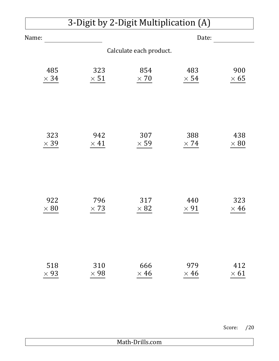| 3-Digit by 2-Digit Multiplication (A) |             |             |             |             |  |  |  |  |
|---------------------------------------|-------------|-------------|-------------|-------------|--|--|--|--|
| Name:                                 | Date:       |             |             |             |  |  |  |  |
| Calculate each product.               |             |             |             |             |  |  |  |  |
| 485                                   | 323         | 854         | 483         | 900         |  |  |  |  |
| $\times$ 34                           | $\times$ 51 | $\times 70$ | $\times$ 54 | $\times 65$ |  |  |  |  |
| 323                                   | 942         | 307         | 388         | 438         |  |  |  |  |
| $\times$ 39                           | $\times$ 41 | $\times$ 59 | $\times$ 74 | $\times 80$ |  |  |  |  |
| 922                                   | 796         | 317         | 440         | 323         |  |  |  |  |
| $\times 80$                           | $\times$ 73 | $\times 82$ | $\times$ 91 | $\times$ 46 |  |  |  |  |
| 518                                   | 310         | 666         | 979         | 412         |  |  |  |  |
| $\times$ 93                           | $\times$ 98 | $\times$ 46 | $\times$ 46 | $\times 61$ |  |  |  |  |